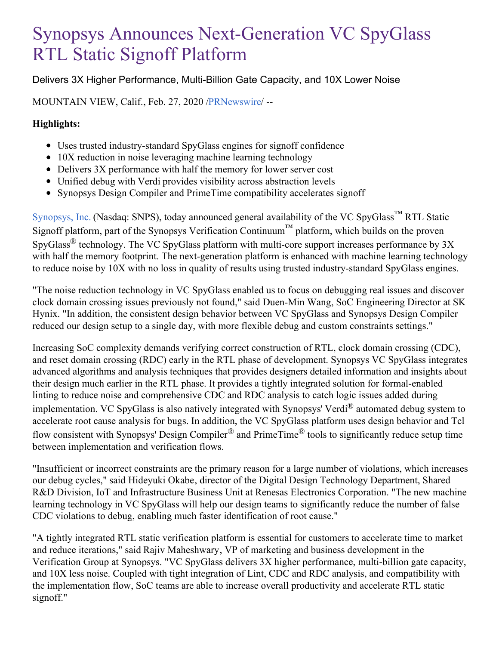## Synopsys Announces Next-Generation VC SpyGlass RTL Static Signoff Platform

Delivers 3X Higher Performance, Multi-Billion Gate Capacity, and 10X Lower Noise

MOUNTAIN VIEW, Calif., Feb. 27, 2020 [/PRNewswire](http://www.prnewswire.com/)/ --

## **Highlights:**

- Uses trusted industry-standard SpyGlass engines for signoff confidence
- 10X reduction in noise leveraging machine learning technology
- Delivers 3X performance with half the memory for lower server cost
- Unified debug with Verdi provides visibility across abstraction levels
- Synopsys Design Compiler and PrimeTime compatibility accelerates signoff

[Synopsys,](https://c212.net/c/link/?t=0&l=en&o=2732272-1&h=227899706&u=https%3A%2F%2Fwww.synopsys.com%2F&a=Synopsys%2C+Inc.) Inc. (Nasdaq: SNPS), today announced general availability of the VC SpyGlass™ RTL Static Signoff platform, part of the Synopsys Verification Continuum<sup>™</sup> platform, which builds on the proven SpyGlass<sup>®</sup> technology. The VC SpyGlass platform with multi-core support increases performance by  $3X$ with half the memory footprint. The next-generation platform is enhanced with machine learning technology to reduce noise by 10X with no loss in quality of results using trusted industry-standard SpyGlass engines.

"The noise reduction technology in VC SpyGlass enabled us to focus on debugging real issues and discover clock domain crossing issues previously not found," said Duen-Min Wang, SoC Engineering Director at SK Hynix. "In addition, the consistent design behavior between VC SpyGlass and Synopsys Design Compiler reduced our design setup to a single day, with more flexible debug and custom constraints settings."

Increasing SoC complexity demands verifying correct construction of RTL, clock domain crossing (CDC), and reset domain crossing (RDC) early in the RTL phase of development. Synopsys VC SpyGlass integrates advanced algorithms and analysis techniques that provides designers detailed information and insights about their design much earlier in the RTL phase. It provides a tightly integrated solution for formal-enabled linting to reduce noise and comprehensive CDC and RDC analysis to catch logic issues added during implementation. VC SpyGlass is also natively integrated with Synopsys' Verdi® automated debug system to accelerate root cause analysis for bugs. In addition, the VC SpyGlass platform uses design behavior and Tcl flow consistent with Synopsys' Design Compiler® and PrimeTime® tools to significantly reduce setup time between implementation and verification flows.

"Insufficient or incorrect constraints are the primary reason for a large number of violations, which increases our debug cycles," said Hideyuki Okabe, director of the Digital Design Technology Department, Shared R&D Division, IoT and Infrastructure Business Unit at Renesas Electronics Corporation. "The new machine learning technology in VC SpyGlass will help our design teams to significantly reduce the number of false CDC violations to debug, enabling much faster identification of root cause."

"A tightly integrated RTL static verification platform is essential for customers to accelerate time to market and reduce iterations," said Rajiv Maheshwary, VP of marketing and business development in the Verification Group at Synopsys. "VC SpyGlass delivers 3X higher performance, multi-billion gate capacity, and 10X less noise. Coupled with tight integration of Lint, CDC and RDC analysis, and compatibility with the implementation flow, SoC teams are able to increase overall productivity and accelerate RTL static signoff."